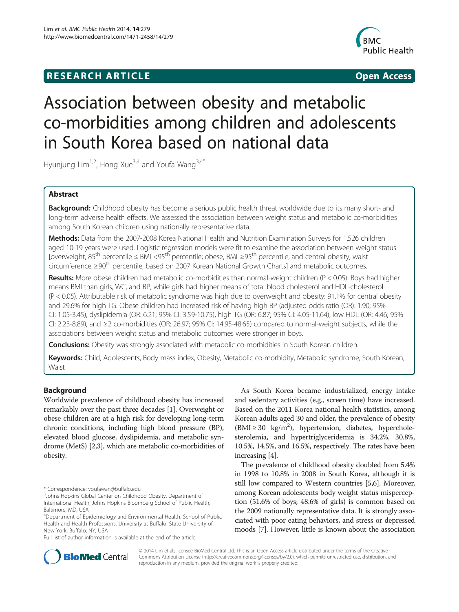## **RESEARCH ARTICLE Example 2014 12:30 The SEAR CHA R TIGGS**



# Association between obesity and metabolic co-morbidities among children and adolescents in South Korea based on national data

Hyunjung Lim<sup>1,2</sup>, Hong Xue<sup>3,4</sup> and Youfa Wang<sup>3,4\*</sup>

## Abstract

Background: Childhood obesity has become a serious public health threat worldwide due to its many short- and long-term adverse health effects. We assessed the association between weight status and metabolic co-morbidities among South Korean children using nationally representative data.

Methods: Data from the 2007-2008 Korea National Health and Nutrition Examination Surveys for 1,526 children aged 10-19 years were used. Logistic regression models were fit to examine the association between weight status [overweight, 85th percentile ≤ BMI <95th percentile; obese, BMI ≥95th percentile; and central obesity, waist circumference ≥90th percentile, based on 2007 Korean National Growth Charts] and metabolic outcomes.

Results: More obese children had metabolic co-morbidities than normal-weight children ( $P < 0.05$ ). Boys had higher means BMI than girls, WC, and BP, while girls had higher means of total blood cholesterol and HDL-cholesterol (P < 0.05). Attributable risk of metabolic syndrome was high due to overweight and obesity: 91.1% for central obesity and 29.6% for high TG. Obese children had increased risk of having high BP (adjusted odds ratio (OR): 1.90; 95% CI: 1.05-3.45), dyslipidemia (OR: 6.21; 95% CI: 3.59-10.75), high TG (OR: 6.87; 95% CI: 4.05-11.64), low HDL (OR: 4.46; 95% CI: 2.23-8.89), and ≥2 co-morbidities (OR: 26.97; 95% CI: 14.95-48.65) compared to normal-weight subjects, while the associations between weight status and metabolic outcomes were stronger in boys.

**Conclusions:** Obesity was strongly associated with metabolic co-morbidities in South Korean children.

Keywords: Child, Adolescents, Body mass index, Obesity, Metabolic co-morbidity, Metabolic syndrome, South Korean, **Waist** 

## Background

Worldwide prevalence of childhood obesity has increased remarkably over the past three decades [[1\]](#page-7-0). Overweight or obese children are at a high risk for developing long-term chronic conditions, including high blood pressure (BP), elevated blood glucose, dyslipidemia, and metabolic syndrome (MetS) [[2,3\]](#page-7-0), which are metabolic co-morbidities of obesity.

Full list of author information is available at the end of the article

As South Korea became industrialized, energy intake and sedentary activities (e.g., screen time) have increased. Based on the 2011 Korea national health statistics, among Korean adults aged 30 and older, the prevalence of obesity (BMI ≥ 30 kg/m<sup>2</sup>), hypertension, diabetes, hypercholesterolemia, and hypertriglyceridemia is 34.2%, 30.8%, 10.5%, 14.5%, and 16.5%, respectively. The rates have been increasing [\[4\]](#page-7-0).

The prevalence of childhood obesity doubled from 5.4% in 1998 to 10.8% in 2008 in South Korea, although it is still low compared to Western countries [\[5,6](#page-7-0)]. Moreover, among Korean adolescents body weight status misperception (51.6% of boys; 48.6% of girls) is common based on the 2009 nationally representative data. It is strongly associated with poor eating behaviors, and stress or depressed moods [\[7\]](#page-7-0). However, little is known about the association



© 2014 Lim et al.; licensee BioMed Central Ltd. This is an Open Access article distributed under the terms of the Creative Commons Attribution License [\(http://creativecommons.org/licenses/by/2.0\)](http://creativecommons.org/licenses/by/2.0), which permits unrestricted use, distribution, and reproduction in any medium, provided the original work is properly credited.

<sup>\*</sup> Correspondence: [youfawan@buffalo.edu](mailto:youfawan@buffalo.edu) <sup>3</sup>

<sup>&</sup>lt;sup>3</sup> Johns Hopkins Global Center on Childhood Obesity, Department of International Health, Johns Hopkins Bloomberg School of Public Health, Baltimore, MD, USA

<sup>4</sup> Department of Epidemiology and Environmental Health, School of Public Health and Health Professions, University at Buffalo, State University of New York, Buffalo, NY, USA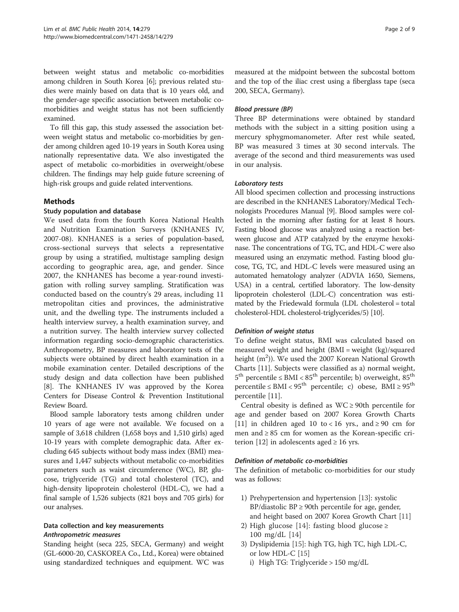between weight status and metabolic co-morbidities among children in South Korea [\[6\]](#page-7-0); previous related studies were mainly based on data that is 10 years old, and the gender-age specific association between metabolic comorbidities and weight status has not been sufficiently examined.

To fill this gap, this study assessed the association between weight status and metabolic co-morbidities by gender among children aged 10-19 years in South Korea using nationally representative data. We also investigated the aspect of metabolic co-morbidities in overweight/obese children. The findings may help guide future screening of high-risk groups and guide related interventions.

### Methods

#### Study population and database

We used data from the fourth Korea National Health and Nutrition Examination Surveys (KNHANES IV, 2007-08). KNHANES is a series of population-based, cross-sectional surveys that selects a representative group by using a stratified, multistage sampling design according to geographic area, age, and gender. Since 2007, the KNHANES has become a year-round investigation with rolling survey sampling. Stratification was conducted based on the country's 29 areas, including 11 metropolitan cities and provinces, the administrative unit, and the dwelling type. The instruments included a health interview survey, a health examination survey, and a nutrition survey. The health interview survey collected information regarding socio-demographic characteristics. Anthropometry, BP measures and laboratory tests of the subjects were obtained by direct health examination in a mobile examination center. Detailed descriptions of the study design and data collection have been published [[8\]](#page-7-0). The KNHANES IV was approved by the Korea Centers for Disease Control & Prevention Institutional Review Board.

Blood sample laboratory tests among children under 10 years of age were not available. We focused on a sample of 3,618 children (1,658 boys and 1,510 girls) aged 10-19 years with complete demographic data. After excluding 645 subjects without body mass index (BMI) measures and 1,447 subjects without metabolic co-morbidities parameters such as waist circumference (WC), BP, glucose, triglyceride (TG) and total cholesterol (TC), and high-density lipoprotein cholesterol (HDL-C), we had a final sample of 1,526 subjects (821 boys and 705 girls) for our analyses.

## Data collection and key measurements Anthropometric measures

Standing height (seca 225, SECA, Germany) and weight (GL-6000-20, CASKOREA Co., Ltd., Korea) were obtained using standardized techniques and equipment. WC was

measured at the midpoint between the subcostal bottom and the top of the iliac crest using a fiberglass tape (seca 200, SECA, Germany).

### Blood pressure (BP)

Three BP determinations were obtained by standard methods with the subject in a sitting position using a mercury sphygmomanometer. After rest while seated, BP was measured 3 times at 30 second intervals. The average of the second and third measurements was used in our analysis.

### Laboratory tests

All blood specimen collection and processing instructions are described in the KNHANES Laboratory/Medical Technologists Procedures Manual [\[9\]](#page-7-0). Blood samples were collected in the morning after fasting for at least 8 hours. Fasting blood glucose was analyzed using a reaction between glucose and ATP catalyzed by the enzyme hexokinase. The concentrations of TG, TC, and HDL-C were also measured using an enzymatic method. Fasting blood glucose, TG, TC, and HDL-C levels were measured using an automated hematology analyzer (ADVIA 1650, Siemens, USA) in a central, certified laboratory. The low-density lipoprotein cholesterol (LDL-C) concentration was estimated by the Friedewald formula (LDL cholesterol = total cholesterol-HDL cholesterol-triglycerides/5) [\[10\]](#page-7-0).

#### Definition of weight status

To define weight status, BMI was calculated based on measured weight and height (BMI = weight (kg)/squared height (m<sup>2</sup>)). We used the 2007 Korean National Growth Charts [[11\]](#page-7-0). Subjects were classified as a) normal weight,  $5^{\text{th}}$  percentile ≤ BMI <  $85^{\text{th}}$  percentile; b) overweight,  $85^{\text{th}}$ percentile  $\leq$  BMI  $<$  95<sup>th</sup> percentile; c) obese, BMI  $\geq$  95<sup>th</sup> percentile [\[11\]](#page-7-0).

Central obesity is defined as  $WC \ge 90$ th percentile for age and gender based on 2007 Korea Growth Charts [[11\]](#page-7-0) in children aged 10 to < 16 yrs., and  $\geq 90$  cm for men and  $\geq 85$  cm for women as the Korean-specific cri-terion [\[12\]](#page-7-0) in adolescents aged  $\geq 16$  yrs.

#### Definition of metabolic co-morbidities

The definition of metabolic co-morbidities for our study was as follows:

- 1) Prehypertension and hypertension [\[13](#page-7-0)]: systolic BP/diastolic BP  $\geq$  90th percentile for age, gender, and height based on 2007 Korea Growth Chart [[11\]](#page-7-0)
- 2) High glucose [[14](#page-7-0)]: fasting blood glucose ≥ 100 mg/dL [[14](#page-7-0)]
- 3) Dyslipidemia [\[15\]](#page-7-0): high TG, high TC, high LDL-C, or low HDL-C [[15](#page-7-0)]
	- i) High TG: Triglyceride > 150 mg/dL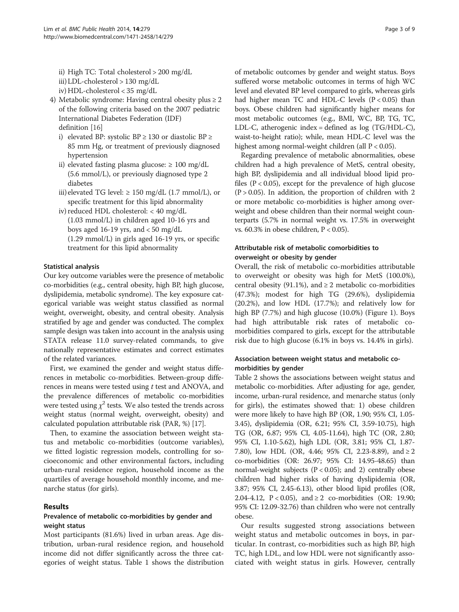- ii) High TC: Total cholesterol > 200 mg/dL
- iii) LDL-cholesterol > 130 mg/dL
- iv) HDL-cholesterol < 35 mg/dL
- 4) Metabolic syndrome: Having central obesity plus  $\geq 2$ of the following criteria based on the 2007 pediatric International Diabetes Federation (IDF) definition [[16](#page-8-0)]
	- i) elevated BP: systolic BP  $\geq$  130 or diastolic BP  $\geq$ 85 mm Hg, or treatment of previously diagnosed hypertension
	- ii) elevated fasting plasma glucose:  $\geq 100$  mg/dL (5.6 mmol/L), or previously diagnosed type 2 diabetes
	- iii) elevated TG level:  $\geq$  150 mg/dL (1.7 mmol/L), or specific treatment for this lipid abnormality
	- iv) reduced HDL cholesterol: < 40 mg/dL
		- (1.03 mmol/L) in children aged 10-16 yrs and boys aged 16-19 yrs, and  $<$  50 mg/dL

(1.29 mmol/L) in girls aged 16-19 yrs, or specific treatment for this lipid abnormality

#### Statistical analysis

Our key outcome variables were the presence of metabolic co-morbidities (e.g., central obesity, high BP, high glucose, dyslipidemia, metabolic syndrome). The key exposure categorical variable was weight status classified as normal weight, overweight, obesity, and central obesity. Analysis stratified by age and gender was conducted. The complex sample design was taken into account in the analysis using STATA release 11.0 survey-related commands, to give nationally representative estimates and correct estimates of the related variances.

First, we examined the gender and weight status differences in metabolic co-morbidities. Between-group differences in means were tested using  $t$  test and ANOVA, and the prevalence differences of metabolic co-morbidities were tested using  $\chi^2$  tests. We also tested the trends across weight status (normal weight, overweight, obesity) and calculated population attributable risk (PAR, %) [\[17\]](#page-8-0).

Then, to examine the association between weight status and metabolic co-morbidities (outcome variables), we fitted logistic regression models, controlling for socioeconomic and other environmental factors, including urban-rural residence region, household income as the quartiles of average household monthly income, and menarche status (for girls).

#### Results

## Prevalence of metabolic co-morbidities by gender and weight status

Most participants (81.6%) lived in urban areas. Age distribution, urban-rural residence region, and household income did not differ significantly across the three categories of weight status. Table [1](#page-3-0) shows the distribution of metabolic outcomes by gender and weight status. Boys suffered worse metabolic outcomes in terms of high WC level and elevated BP level compared to girls, whereas girls had higher mean TC and HDL-C levels  $(P < 0.05)$  than boys. Obese children had significantly higher means for most metabolic outcomes (e.g., BMI, WC, BP, TG, TC, LDL-C, atherogenic index = defined as log (TG/HDL-C), waist-to-height ratio); while, mean HDL-C level was the highest among normal-weight children (all P < 0.05).

Regarding prevalence of metabolic abnormalities, obese children had a high prevalence of MetS, central obesity, high BP, dyslipidemia and all individual blood lipid profiles  $(P < 0.05)$ , except for the prevalence of high glucose  $(P > 0.05)$ . In addition, the proportion of children with 2 or more metabolic co-morbidities is higher among overweight and obese children than their normal weight counterparts (5.7% in normal weight vs. 17.5% in overweight vs. 60.3% in obese children, P < 0.05).

## Attributable risk of metabolic comorbidities to overweight or obesity by gender

Overall, the risk of metabolic co-morbidities attributable to overweight or obesity was high for MetS (100.0%), central obesity (91.1%), and  $\geq 2$  metabolic co-morbidities (47.3%); modest for high TG (29.6%), dyslipidemia (20.2%), and low HDL (17.7%); and relatively low for high BP (7.7%) and high glucose (10.0%) (Figure [1](#page-4-0)). Boys had high attributable risk rates of metabolic comorbidities compared to girls, except for the attributable risk due to high glucose (6.1% in boys vs. 14.4% in girls).

## Association between weight status and metabolic comorbidities by gender

Table [2](#page-5-0) shows the associations between weight status and metabolic co-morbidities. After adjusting for age, gender, income, urban-rural residence, and menarche status (only for girls), the estimates showed that: 1) obese children were more likely to have high BP (OR, 1.90; 95% CI, 1.05- 3.45), dyslipidemia (OR, 6.21; 95% CI, 3.59-10.75), high TG (OR, 6.87; 95% CI, 4.05-11.64), high TC (OR, 2.80; 95% CI, 1.10-5.62), high LDL (OR, 3.81; 95% CI, 1.87- 7.80), low HDL (OR, 4.46; 95% CI, 2.23-8.89), and ≥ 2 co-morbidities (OR: 26.97; 95% CI: 14.95-48.65) than normal-weight subjects ( $P < 0.05$ ); and 2) centrally obese children had higher risks of having dyslipidemia (OR, 3.87; 95% CI, 2.45-6.13), other blood lipid profiles (OR, 2.04-4.12, P < 0.05), and ≥ 2 co-morbidities (OR: 19.90; 95% CI: 12.09-32.76) than children who were not centrally obese.

Our results suggested strong associations between weight status and metabolic outcomes in boys, in particular. In contrast, co-morbidities such as high BP, high TC, high LDL, and low HDL were not significantly associated with weight status in girls. However, centrally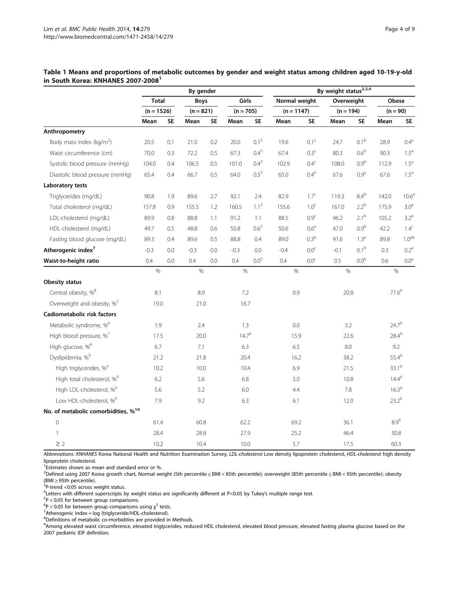|                                                 | By gender                    |           |                            |     | By weight status <sup>2,3,4</sup> |                  |                               |                  |                           |                  |                   |                   |  |
|-------------------------------------------------|------------------------------|-----------|----------------------------|-----|-----------------------------------|------------------|-------------------------------|------------------|---------------------------|------------------|-------------------|-------------------|--|
|                                                 | <b>Total</b><br>$(n = 1526)$ |           | <b>Boys</b><br>$(n = 821)$ |     | Girls<br>$(n = 705)$              |                  | Normal weight<br>$(n = 1147)$ |                  | Overweight<br>$(n = 194)$ |                  | Obese             |                   |  |
|                                                 |                              |           |                            |     |                                   |                  |                               |                  |                           |                  | $(n = 90)$        |                   |  |
|                                                 | Mean                         | <b>SE</b> | Mean                       | SE. | Mean                              | <b>SE</b>        | Mean                          | <b>SE</b>        | Mean                      | <b>SE</b>        | Mean              | SE                |  |
| Anthropometry                                   |                              |           |                            |     |                                   |                  |                               |                  |                           |                  |                   |                   |  |
| Body mass index ( $kg/m2$ )                     | 20.5                         | 0.1       | 21.0                       | 0.2 | 20.0                              | 0.1 <sup>5</sup> | 19.6                          | 0.1 <sup>c</sup> | 24.7                      | 0.1 <sup>b</sup> | 28.9              | 0.4 <sup>a</sup>  |  |
| Waist circumference (cm)                        | 70.0                         | 0.3       | 72.2                       | 0.5 | 67.3                              | $0.4^{5}$        | 67.4                          | 0.3 <sup>c</sup> | 80.3                      | 0.6 <sup>b</sup> | 90.3              | 1.5 <sup>a</sup>  |  |
| Systolic blood pressure (mmHg)                  | 104.0                        | 0.4       | 106.5                      | 0.5 | 101.0                             | $0.4^{5}$        | 102.9                         | 0.4 <sup>c</sup> | 108.0                     | 0.9 <sup>b</sup> | 112.9             | 1.5 <sup>a</sup>  |  |
| Diastolic blood pressure (mmHg)                 | 65.4                         | 0.4       | 66.7                       | 0.5 | 64.0                              | $0.5^{5}$        | 65.0                          | $0.4^b$          | 67.6                      | 0.9 <sup>a</sup> | 67.6              | $1.5^{\circ}$     |  |
| Laboratory tests                                |                              |           |                            |     |                                   |                  |                               |                  |                           |                  |                   |                   |  |
| Triglycerides (mg/dL)                           | 90.8                         | 1.9       | 89.6                       | 2.7 | 92.1                              | 2.4              | 82.9                          | 1.7 <sup>c</sup> | 119.3                     | $8.4^{\rm b}$    | 142.0             | 10.6 <sup>a</sup> |  |
| Total cholesterol (mg/dL)                       | 157.8                        | 0.9       | 155.5                      | 1.2 | 160.5                             | 1.1 <sup>5</sup> | 155.6                         | 1.0 <sup>c</sup> | 167.0                     | 2.2 <sup>b</sup> | 175.9             | $3.0^{\rm a}$     |  |
| LDL-cholesterol (mg/dL)                         | 89.9                         | 0.8       | 88.8                       | 1.1 | 91.2                              | 1.1              | 88.5                          | 0.9 <sup>c</sup> | 96.2                      | $2.1^{\rm b}$    | 105.2             | $3.2^a$           |  |
| HDL-cholesterol (mg/dL)                         | 49.7                         | 0.5       | 48.8                       | 0.6 | 50.8                              | $0.6^{5}$        | 50.6                          | 0.6 <sup>a</sup> | 47.0                      | 0.9 <sup>b</sup> | 42.2              | $1.4^c$           |  |
| Fasting blood glucose (mg/dL)                   | 89.3                         | 0.4       | 89.6                       | 0.5 | 88.8                              | 0.4              | 89.0                          | 0.3 <sup>b</sup> | 91.6                      | 1.3 <sup>a</sup> | 89.8              | 1.0 <sup>ab</sup> |  |
| Atherogenic index <sup>7</sup>                  | $-0.3$                       | 0.0       | $-0.3$                     | 0.0 | $-0.3$                            | 0.0              | $-0.4$                        | 0.0 <sup>c</sup> | $-0.1$                    | 0.1 <sup>b</sup> | 0.3               | 0.2 <sup>a</sup>  |  |
| Waist-to-height ratio                           | 0.4                          | 0.0       | 0.4                        | 0.0 | 0.4                               | $0.0^{5}$        | 0.4                           | $0.0^{\rm c}$    | 0.5                       | 0.0 <sup>b</sup> | 0.6               | $0.0^{\rm a}$     |  |
|                                                 | $\frac{1}{2}$                |           | $\%$                       |     | $\%$                              |                  | $\%$                          |                  | $\%$                      |                  | $\%$              |                   |  |
| <b>Obesity status</b>                           |                              |           |                            |     |                                   |                  |                               |                  |                           |                  |                   |                   |  |
| Central obesity, % <sup>8</sup>                 | 8.1                          |           | 8.9                        |     | 7.2                               |                  | 0.9                           |                  | 20.8                      |                  | $77.6^6$          |                   |  |
| Overweight and obesity, % <sup>2</sup>          | 19.0                         |           | 21.0                       |     | 16.7                              |                  |                               |                  |                           |                  |                   |                   |  |
| Cadiometabolic risk factors                     |                              |           |                            |     |                                   |                  |                               |                  |                           |                  |                   |                   |  |
| Metabolic syndrome, % <sup>6</sup>              | 1.9                          |           | 2.4                        |     | 1.3                               |                  | 0.0                           |                  | 3.2                       |                  | $24.7^{6}$        |                   |  |
| High blood pressure, %7                         | 17.5                         |           | 20.0                       |     | $14.7^{6}$                        |                  | 15.9                          |                  | 22.6                      |                  | $28.4^{6}$        |                   |  |
| High glucose, % <sup>8</sup>                    | 6.7                          |           | 7.1                        |     | 6.3                               |                  | 6.5                           |                  | 8.0                       |                  | 9.2               |                   |  |
| Dyslipidemia, % <sup>9</sup>                    | 21.2                         |           | 21.8                       |     | 20.4                              |                  | 16.2                          |                  | 38.2                      |                  | 55.4 <sup>6</sup> |                   |  |
| High triglycerides, % <sup>9</sup>              | 10.2                         |           | 10.0                       |     | 10.4                              |                  | 6.9                           |                  | 21.5                      |                  | 33.1 <sup>6</sup> |                   |  |
| High total cholesterol, % <sup>9</sup>          | 6.2                          |           |                            | 5.6 |                                   | 6.8              |                               | 5.0              |                           | 10.8             |                   | $14.4^{6}$        |  |
| High LDL-cholesterol, % <sup>9</sup>            | 5.6                          |           | 5.2                        |     | 6.0                               |                  | 4.4                           |                  | 7.8                       |                  | $16.3^{6}$        |                   |  |
| Low HDL-cholesterol, % <sup>9</sup>             | 7.9                          |           | 9.2                        |     | 6.3                               |                  | 6.1                           |                  | 12.0                      |                  | $23.2^{6}$        |                   |  |
| No. of metabolic comorbidities, % <sup>10</sup> |                              |           |                            |     |                                   |                  |                               |                  |                           |                  |                   |                   |  |
| $\mathbf 0$                                     | 61.4                         |           | 60.8                       |     | 62.2                              |                  | 69.2                          |                  | 36.1                      |                  | $8.9^6$           |                   |  |
| $\mathbf{1}$                                    | 28.4                         |           | 28.8                       |     | 27.9                              |                  | 25.2                          |                  | 46.4                      |                  | 30.8              |                   |  |
| $\geq$ 2                                        | 10.2                         |           | 10.4                       |     | 10.0                              |                  | 5.7                           |                  | 17.5                      |                  | 60.3              |                   |  |

<span id="page-3-0"></span>Table 1 Means and proportions of metabolic outcomes by gender and weight status among children aged 10-19-y-old in South Korea: KNHANES 2007-20081

Abbreviations: KNHANES Korea National Health and Nutrition Examination Survey, LDL-cholesterol Low density lipoprotein cholesterol, HDL-cholesterol high density lipoprotein cholesterol.

<sup>1</sup>Estimates shown as mean and standard error or %.

2 Defined using 2007 Korea growth chart, Normal weight (5th percentile ≤ BMI < 85th percentile); overweight (85th percentile ≤ BMI < 95th percentile); obesity (BMI  $\geq$  95th percentile).

 $3P$ -trend <0.05 across weight status.

<sup>4</sup>Letters with different superscripts by weight status are significantly different at P<0.05 by Tukey's multiple range test.<br><sup>5</sup>P < 0.05 for hattyoon group comparisons

 $P$  < 0.05 for between group comparisons.

 $^{6}P < 0.05$  for between group comparisons using  $\chi^2$  tests.

 $^7$ Atherogenic index = log (triglyceride/HDL-cholesterol).

<sup>8</sup>Definitions of metabolic co-morbidities are provided in Methods.

<sup>9</sup>Among elevated waist circumference, elevated triglycerides, reduced HDL cholesterol, elevated blood pressure, elevated fasting plasma glucose based on the 2007 pediatric IDF definition.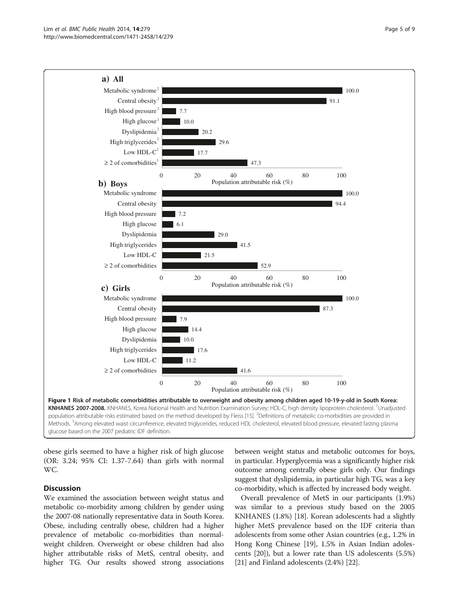<span id="page-4-0"></span>

obese girls seemed to have a higher risk of high glucose (OR: 3.24; 95% CI: 1.37-7.64) than girls with normal WC.

## **Discussion**

We examined the association between weight status and metabolic co-morbidity among children by gender using the 2007-08 nationally representative data in South Korea. Obese, including centrally obese, children had a higher prevalence of metabolic co-morbidities than normalweight children. Overweight or obese children had also higher attributable risks of MetS, central obesity, and higher TG. Our results showed strong associations between weight status and metabolic outcomes for boys, in particular. Hyperglycemia was a significantly higher risk outcome among centrally obese girls only. Our findings suggest that dyslipidemia, in particular high TG, was a key co-morbidity, which is affected by increased body weight.

Overall prevalence of MetS in our participants (1.9%) was similar to a previous study based on the 2005 KNHANES (1.8%) [\[18\]](#page-8-0). Korean adolescents had a slightly higher MetS prevalence based on the IDF criteria than adolescents from some other Asian countries (e.g., 1.2% in Hong Kong Chinese [\[19\]](#page-8-0), 1.5% in Asian Indian adolescents [[20](#page-8-0)]), but a lower rate than US adolescents (5.5%) [[21](#page-8-0)] and Finland adolescents (2.4%) [\[22\]](#page-8-0).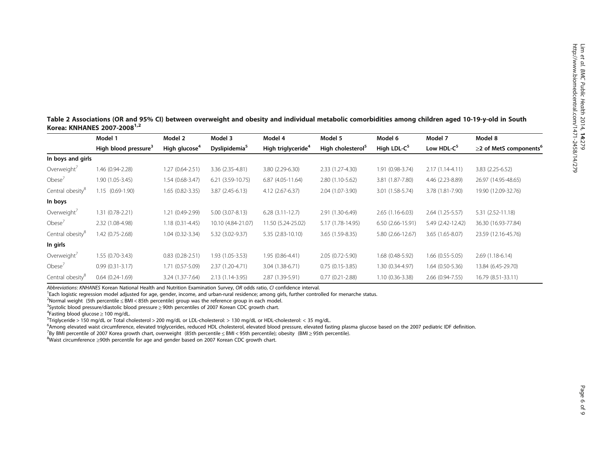<span id="page-5-0"></span>Table 2 Associations (OR and 95% CI) between overweight and obesity and individual metabolic comorbidities among children aged 10-19-y-old in South Korea: KNHANES 2007-20081,2

|                              | Model 1<br>Model 2               |                           | Model 3                   | Model 4                        | Model 5                       | Model 6             | Model 7                | Model 8                                  |  |
|------------------------------|----------------------------------|---------------------------|---------------------------|--------------------------------|-------------------------------|---------------------|------------------------|------------------------------------------|--|
|                              | High blood pressure <sup>3</sup> | High glucose <sup>4</sup> | Dyslipidemia <sup>5</sup> | High triglyceride <sup>4</sup> | High cholesterol <sup>5</sup> | High LDL- $C^5$     | Low HDL-C <sup>5</sup> | $\geq$ 2 of MetS components <sup>6</sup> |  |
| In boys and girls            |                                  |                           |                           |                                |                               |                     |                        |                                          |  |
| Overweight <sup>'</sup>      | 1.46 (0.94-2.28)                 | 1.27 (0.64-2.51)          | 3.36 (2.35-4.81)          | 3.80 (2.29-6.30)               | $2.33(1.27-4.30)$             | 1.91 (0.98-3.74)    | $2.17(1.14 - 4.11)$    | 3.83 (2.25-6.52)                         |  |
| Obese $7$                    | 1.90 (1.05-3.45)                 | 1.54 (0.68-3.47)          | $6.21(3.59-10.75)$        | $6.87(4.05-11.64)$             | 2.80 (1.10-5.62)              | 3.81 (1.87-7.80)    | 4.46 (2.23-8.89)       | 26.97 (14.95-48.65)                      |  |
| Central obesity <sup>8</sup> | 1.15 (0.69-1.90)                 | 1.65 (0.82-3.35)          | $3.87(2.45-6.13)$         | 4.12 (2.67-6.37)               | 2.04 (1.07-3.90)              | 3.01 (1.58-5.74)    | 3.78 (1.81-7.90)       | 19.90 (12.09-32.76)                      |  |
| In boys                      |                                  |                           |                           |                                |                               |                     |                        |                                          |  |
| Overweight <sup>7</sup>      | 1.31 (0.78-2.21)                 | 1.21 (0.49-2.99)          | $5.00(3.07 - 8.13)$       | $6.28(3.11-12.7)$              | 2.91 (1.30-6.49)              | $2.65(1.16-6.03)$   | 2.64 (1.25-5.57)       | 5.31 (2.52-11.18)                        |  |
| Obese $7$                    | 2.32 (1.08-4.98)                 | $1.18(0.31 - 4.45)$       | 10.10 (4.84-21.07)        | 11.50 (5.24-25.02)             | 5.17 (1.78-14.95)             | $6.50(2.66-15.91)$  | 5.49 (2.42-12.42)      | 36.30 (16.93-77.84)                      |  |
| Central obesity <sup>8</sup> | 1.42 (0.75-2.68)                 | 1.04 (0.32-3.34)          | 5.32 (3.02-9.37)          | 5.35 (2.83-10.10)              | 3.65 (1.59-8.35)              | 5.80 (2.66-12.67)   | $3.65(1.65-8.07)$      | 23.59 (12.16-45.76)                      |  |
| In girls                     |                                  |                           |                           |                                |                               |                     |                        |                                          |  |
| Overweight <sup>7</sup>      | $1.55(0.70-3.43)$                | $0.83(0.28-2.51)$         | 1.93 (1.05-3.53)          | 1.95 (0.86-4.41)               | $2.05(0.72 - 5.90)$           | 1.68 (0.48-5.92)    | $1.66$ (0.55-5.05)     | $2.69(1.18-6.14)$                        |  |
| Obese <sup>'</sup>           | $0.99(0.31-3.17)$                | 1.71 (0.57-5.09)          | 2.37 (1.20-4.71)          | 3.04 (1.38-6.71)               | $0.75(0.15-3.85)$             | 1.30 (0.34-4.97)    | 1.64 (0.50-5.36)       | 13.84 (6.45-29.70)                       |  |
| Central obesity <sup>8</sup> | $0.64(0.24-1.69)$                | 3.24 (1.37-7.64)          | 2.13 (1.14-3.95)          | 2.87 (1.39-5.91)               | $0.77(0.21 - 2.88)$           | $1.10(0.36 - 3.38)$ | 2.66 (0.94-7.55)       | 16.79 (8.51-33.11)                       |  |

Abbreviations: KNHANES Korean National Health and Nutrition Examination Survey, OR odds ratio, CI confidence interval.

<sup>1</sup>Each logistic regression model adjusted for age, gender, income, and urban-rural residence; among girls, further controlled for menarche status.

<sup>2</sup>Normal weight (5th percentile ≤ BMI < 85th percentile) group was the reference group in each model.<br><sup>3</sup>Systolic blood pressure/diastolic blood pressure > 90th percentiles of 2007 Korean CDC growth chart

<sup>3</sup>Systolic blood pressure/diastolic blood pressure ≥ 90th percentiles of 2007 Korean CDC growth chart.

 $4$ Fasting blood glucose  $\geq 100$  mg/dL.

 $5$ Triglyceride > 150 mg/dL or Total cholesterol > 200 mg/dL or LDL-cholesterol: > 130 mg/dL or HDL-cholesterol: < 35 mg/dL.

<sup>6</sup>Among elevated waist circumference, elevated triglycerides, reduced HDL cholesterol, elevated blood pressure, elevated fasting plasma glucose based on the 2007 pediatric IDF definition.<br><sup>7</sup>BV BML perceptile of 2007 Kore

<sup>7</sup>By BMI percentile of 2007 Korea growth chart, overweight (85th percentile ≤ BMI < 95th percentile); obesity (BMI ≥ 95th percentile).

Waist circumference ≥90th percentile for age and gender based on 2007 Korean CDC growth chart.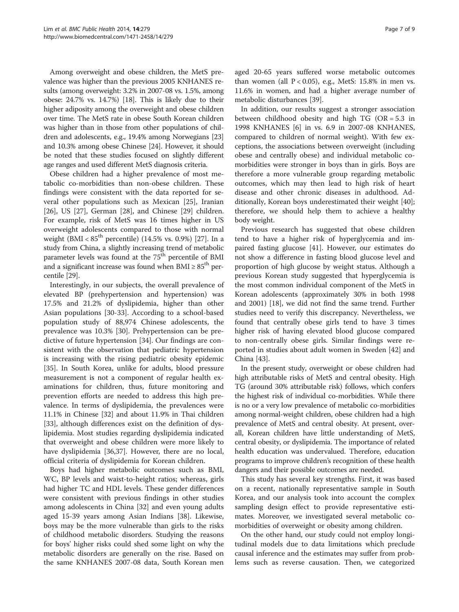Among overweight and obese children, the MetS prevalence was higher than the previous 2005 KNHANES results (among overweight: 3.2% in 2007-08 vs. 1.5%, among obese: 24.7% vs. 14.7%) [\[18\]](#page-8-0). This is likely due to their higher adiposity among the overweight and obese children over time. The MetS rate in obese South Korean children was higher than in those from other populations of children and adolescents, e.g., 19.4% among Norwegians [[23](#page-8-0)] and 10.3% among obese Chinese [\[24\]](#page-8-0). However, it should be noted that these studies focused on slightly different age ranges and used different MetS diagnosis criteria.

Obese children had a higher prevalence of most metabolic co-morbidities than non-obese children. These findings were consistent with the data reported for several other populations such as Mexican [\[25](#page-8-0)], Iranian [[26\]](#page-8-0), US [[27\]](#page-8-0), German [[28\]](#page-8-0), and Chinese [[29](#page-8-0)] children. For example, risk of MetS was 16 times higher in US overweight adolescents compared to those with normal weight (BMI <  $85^{th}$  percentile) (14.5% vs. 0.9%) [[27\]](#page-8-0). In a study from China, a slightly increasing trend of metabolic parameter levels was found at the 75<sup>th</sup> percentile of BMI and a significant increase was found when BMI  $\geq 85^{\text{th}}$  percentile [[29](#page-8-0)].

Interestingly, in our subjects, the overall prevalence of elevated BP (prehypertension and hypertension) was 17.5% and 21.2% of dyslipidemia, higher than other Asian populations [[30](#page-8-0)-[33\]](#page-8-0). According to a school-based population study of 88,974 Chinese adolescents, the prevalence was 10.3% [\[30](#page-8-0)]. Prehypertension can be predictive of future hypertension [[34](#page-8-0)]. Our findings are consistent with the observation that pediatric hypertension is increasing with the rising pediatric obesity epidemic [[35\]](#page-8-0). In South Korea, unlike for adults, blood pressure measurement is not a component of regular health examinations for children, thus, future monitoring and prevention efforts are needed to address this high prevalence. In terms of dyslipidemia, the prevalences were 11.1% in Chinese [[32](#page-8-0)] and about 11.9% in Thai children [[33\]](#page-8-0), although differences exist on the definition of dyslipidemia. Most studies regarding dyslipidemia indicated that overweight and obese children were more likely to have dyslipidemia [\[36,37\]](#page-8-0). However, there are no local, official criteria of dyslipidemia for Korean children.

Boys had higher metabolic outcomes such as BMI, WC, BP levels and waist-to-height ratios; whereas, girls had higher TC and HDL levels. These gender differences were consistent with previous findings in other studies among adolescents in China [\[32](#page-8-0)] and even young adults aged 15-39 years among Asian Indians [\[38](#page-8-0)]. Likewise, boys may be the more vulnerable than girls to the risks of childhood metabolic disorders. Studying the reasons for boys' higher risks could shed some light on why the metabolic disorders are generally on the rise. Based on the same KNHANES 2007-08 data, South Korean men

aged 20-65 years suffered worse metabolic outcomes than women (all  $P < 0.05$ ), e.g., MetS: 15.8% in men vs. 11.6% in women, and had a higher average number of metabolic disturbances [[39\]](#page-8-0).

In addition, our results suggest a stronger association between childhood obesity and high TG (OR = 5.3 in 1998 KNHANES [\[6](#page-7-0)] in vs. 6.9 in 2007-08 KNHANES, compared to children of normal weight). With few exceptions, the associations between overweight (including obese and centrally obese) and individual metabolic comorbidities were stronger in boys than in girls. Boys are therefore a more vulnerable group regarding metabolic outcomes, which may then lead to high risk of heart disease and other chronic diseases in adulthood. Additionally, Korean boys underestimated their weight [\[40](#page-8-0)]; therefore, we should help them to achieve a healthy body weight.

Previous research has suggested that obese children tend to have a higher risk of hyperglycemia and impaired fasting glucose [[41](#page-8-0)]. However, our estimates do not show a difference in fasting blood glucose level and proportion of high glucose by weight status. Although a previous Korean study suggested that hyperglycemia is the most common individual component of the MetS in Korean adolescents (approximately 30% in both 1998 and 2001) [[18\]](#page-8-0), we did not find the same trend. Further studies need to verify this discrepancy. Nevertheless, we found that centrally obese girls tend to have 3 times higher risk of having elevated blood glucose compared to non-centrally obese girls. Similar findings were reported in studies about adult women in Sweden [[42](#page-8-0)] and China [\[43\]](#page-8-0).

In the present study, overweight or obese children had high attributable risks of MetS and central obesity. High TG (around 30% attributable risk) follows, which confers the highest risk of individual co-morbidities. While there is no or a very low prevalence of metabolic co-morbidities among normal-weight children, obese children had a high prevalence of MetS and central obesity. At present, overall, Korean children have little understanding of MetS, central obesity, or dyslipidemia. The importance of related health education was undervalued. Therefore, education programs to improve children's recognition of these health dangers and their possible outcomes are needed.

This study has several key strengths. First, it was based on a recent, nationally representative sample in South Korea, and our analysis took into account the complex sampling design effect to provide representative estimates. Moreover, we investigated several metabolic comorbidities of overweight or obesity among children.

On the other hand, our study could not employ longitudinal models due to data limitations which preclude causal inference and the estimates may suffer from problems such as reverse causation. Then, we categorized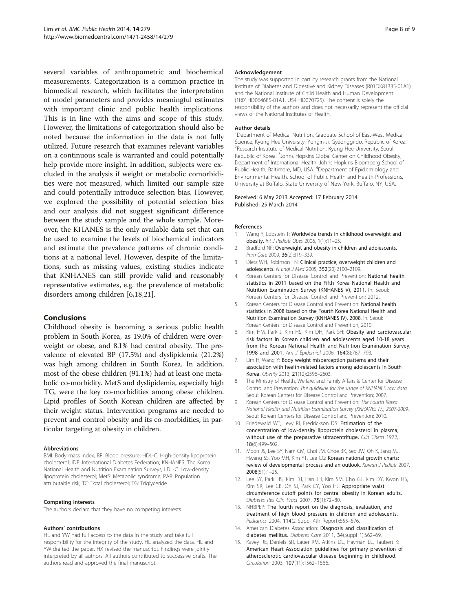<span id="page-7-0"></span>several variables of anthropometric and biochemical measurements. Categorization is a common practice in biomedical research, which facilitates the interpretation of model parameters and provides meaningful estimates with important clinic and public health implications. This is in line with the aims and scope of this study. However, the limitations of categorization should also be noted because the information in the data is not fully utilized. Future research that examines relevant variables on a continuous scale is warranted and could potentially help provide more insight. In addition, subjects were excluded in the analysis if weight or metabolic comorbidities were not measured, which limited our sample size and could potentially introduce selection bias. However, we explored the possibility of potential selection bias and our analysis did not suggest significant difference between the study sample and the whole sample. Moreover, the KHANES is the only available data set that can be used to examine the levels of biochemical indicators and estimate the prevalence patterns of chronic conditions at a national level. However, despite of the limitations, such as missing values, existing studies indicate that KNHANES can still provide valid and reasonably representative estimates, e.g. the prevalence of metabolic disorders among children [6,[18,21](#page-8-0)].

#### Conclusions

Childhood obesity is becoming a serious public health problem in South Korea, as 19.0% of children were overweight or obese, and 8.1% had central obesity. The prevalence of elevated BP (17.5%) and dyslipidemia (21.2%) was high among children in South Korea. In addition, most of the obese children (91.1%) had at least one metabolic co-morbidity. MetS and dyslipidemia, especially high TG, were the key co-morbidities among obese children. Lipid profiles of South Korean children are affected by their weight status. Intervention programs are needed to prevent and control obesity and its co-morbidities, in particular targeting at obesity in children.

#### Abbreviations

BMI: Body mass index; BP: Blood pressure; HDL-C: High-density lipoprotein cholesterol; IDF: International Diabetes Federation; KNHANES: The Korea National Health and Nutrition Examination Surveys; LDL-C: Low-density lipoprotein cholesterol; MetS: Metabolic syndrome; PAR: Population attributable risk; TC: Total cholesterol; TG: Triglyceride.

#### Competing interests

The authors declare that they have no competing interests.

#### Authors' contributions

HL and YW had full access to the data in the study and take full responsibility for the integrity of the study. HL analyzed the data. HL and YW drafted the paper. HX revised the manuscript. Findings were jointly interpreted by all authors. All authors contributed to successive drafts. The authors read and approved the final manuscript.

#### Acknowledgement

The study was supported in part by research grants from the National Institute of Diabetes and Digestive and Kidney Diseases (R01DK81335-01A1) and the National Institute of Child Health and Human Development (1R01HD064685-01A1, U54 HD070725). The content is solely the responsibility of the authors and does not necessarily represent the official views of the National Institutes of Health.

#### Author details

<sup>1</sup>Department of Medical Nutrition, Graduate School of East-West Medical Science, Kyung Hee University, Yongin-si, Gyeonggi-do, Republic of Korea. <sup>2</sup>Research Institute of Medical Nutrition, Kyung Hee University, Seoul, Republic of Korea. <sup>3</sup> Johns Hopkins Global Center on Childhood Obesity, Department of International Health, Johns Hopkins Bloomberg School of Public Health, Baltimore, MD, USA. <sup>4</sup>Department of Epidemiology and Environmental Health, School of Public Health and Health Professions, University at Buffalo, State University of New York, Buffalo, NY, USA.

#### Received: 6 May 2013 Accepted: 17 February 2014 Published: 25 March 2014

#### References

- Wang Y, Lobstein T: Worldwide trends in childhood overweight and obesity. Int J Pediatr Obes 2006, 1(1):11–25.
- Bradford NF: Overweight and obesity in children and adolescents. Prim Care 2009, 36(2):319–339.
- 3. Dietz WH, Robinson TN: Clinical practice, overweight children and adolescents. N Engl J Med 2005, 352(20):2100–2109.
- 4. Korean Centers for Disease Control and Prevention: National health statistics in 2011 based on the Fifth Korea National Health and Nutrition Examination Survey (KNHANES V), 2011. In. Seoul: Korean Centers for Disease Control and Prevention; 2012.
- 5. Korean Centers for Disease Control and Prevention: National health statistics in 2008 based on the Fourth Korea National Health and Nutrition Examination Survey (KNHANES IV), 2008. In. Seoul: Korean Centers for Disease Control and Prevention; 2010.
- 6. Kim HM, Park J, Kim HS, Kim DH, Park SH: Obesity and cardiovascular risk factors in Korean children and adolescents aged 10-18 years from the Korean National Health and Nutrition Examination Survey, 1998 and 2001. Am J Epidemiol 2006, 164(8):787-793.
- 7. Lim H, Wang Y: Body weight misperception patterns and their association with health-related factors among adolescents in South Korea. Obesity 2013, 21(12):2596–2603.
- 8. The Ministry of Health, Welfare, and Family Affairs & Center for Disease Control and Prevention: The guideline for the usage of KNHANES raw data. Seoul: Korean Centers for Disease Control and Prevention; 2007.
- 9. Korean Centers for Disease Control and Prevention: The Fourth Korea National Health and Nutrition Examination Survey (KNHANES IV), 2007-2009. Seoul: Korean Centers for Disease Control and Prevention; 2010.
- 10. Friedewald WT, Levy RI, Fredrickson DS: Estimation of the concentration of low-density lipoprotein cholesterol in plasma, without use of the preparative ultracentrifuge. Clin Chem 1972, 18(6):499–502.
- 11. Moon JS, Lee SY, Nam CM, Choi JM, Choe BK, Seo JW, Oh K, Jang MJ, Hwang SS, Yoo MH, Kim YT, Lee CG: Korean national growth charts: review of developmental process and an outlook. Korean J Pediatr 2007, 2008(51):1–25.
- 12. Lee SY, Park HS, Kim DJ, Han JH, Kim SM, Cho GJ, Kim DY, Kwon HS, Kim SR, Lee CB, Oh SJ, Park CY, Yoo HJ: Appropriate waist circumference cutoff points for central obesity in Korean adults. Diabetes Res Clin Pract 2007, 75(1):72–80.
- 13. NHBPEP: The fourth report on the diagnosis, evaluation, and treatment of high blood pressure in children and adolescents. Pediatrics 2004, 114(2 Suppl 4th Report):555–576.
- 14. American Diabetes Association: Diagnosis and classification of diabetes mellitus. Diabetes Care 2011, 34(Suppl 1):S62–69.
- 15. Kavey RE, Daniels SR, Lauer RM, Atkins DL, Hayman LL, Taubert K: American Heart Association guidelines for primary prevention of atherosclerotic cardiovascular disease beginning in childhood. Circulation 2003, 107(11):1562–1566.